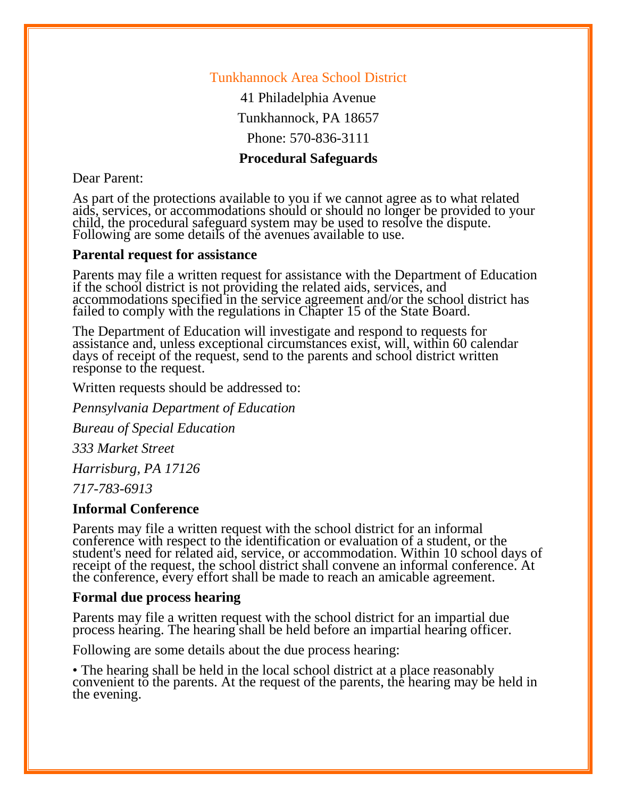### Tunkhannock Area School District

41 Philadelphia Avenue Tunkhannock, PA 18657

Phone: 570-836-3111

## **Procedural Safeguards**

Dear Parent:

As part of the protections available to you if we cannot agree as to what related aids, services, or accommodations should or should no longer be provided to your aids, services, or accommodations should or should no longer be provided to your child, the procedural safeguard system may be used to resolve the dispute. Following are some details of the avenues available to use.

#### **Parental request for assistance**

Parents may file a written request for assistance with the Department of Education if the school district is not providing the related aids, services, and accommodations specified in the service agreement and/or the school district has failed to comply with the regulations in Chapter 15 of the State Board.

The Department of Education will investigate and respond to requests for assistance and, unless exceptional circumstances exist, will, within 60 calendar days of receipt of the request, send to the parents and school district written response to the request.

Written requests should be addressed to:

*Pennsylvania Department of Education*

*Bureau of Special Education*

*333 Market Street*

*Harrisburg, PA 17126*

*717-783-6913*

#### **Informal Conference**

Parents may file a written request with the school district for an informal conference with respect to the identification or evaluation of a student, or the student's need for related aid, service, or accommodation. Within 10 school days of receipt of the request, the school district shall convene an informal conference. At the conference, every effort shall be made to reach an amicable agreement.

#### **Formal due process hearing**

Parents may file a written request with the school district for an impartial due process hearing. The hearing shall be held before an impartial hearing officer.

Following are some details about the due process hearing:

• The hearing shall be held in the local school district at a place reasonably convenient to the parents. At the request of the parents, the hearing may be held in the evening.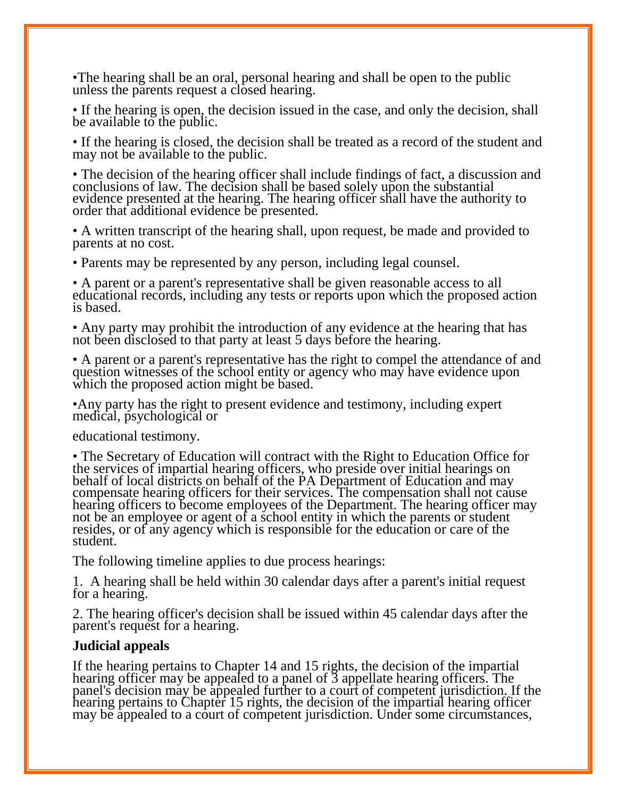•The hearing shall be an oral, personal hearing and shall be open to the public unless the parents request a closed hearing.

• If the hearing is open, the decision issued in the case, and only the decision, shall be available to the public.

• If the hearing is closed, the decision shall be treated as a record of the student and may not be available to the public.

• The decision of the hearing officer shall include findings of fact, a discussion and conclusions of law. The decision shall be based solely upon the substantial evidence presented at the hearing. The hearing officer shall have the authority to order that additional evidence be presented.

• A written transcript of the hearing shall, upon request, be made and provided to parents at no cost.

• Parents may be represented by any person, including legal counsel.

• A parent or a parent's representative shall be given reasonable access to all educational records, including any tests or reports upon which the proposed action is based.

• Any party may prohibit the introduction of any evidence at the hearing that has not been disclosed to that party at least 5 days before the hearing.

• A parent or a parent's representative has the right to compel the attendance of and question witnesses of the school entity or agency who may have evidence upon which the proposed action might be based.

•Any party has the right to present evidence and testimony, including expert medical, psychological or

educational testimony.

• The Secretary of Education will contract with the Right to Education Office for the services of impartial hearing officers, who preside over initial hearings on behalf of local districts on behalf of the PA Department of Education and may compensate hearing officers for their services. The compensation shall not cause hearing officers to become employees of the Department. The hearing officer may not be an employee or agent of a school entity in which the parents or student resides, or of any agency which is responsible for the education or care of the student.

The following timeline applies to due process hearings:

1. A hearing shall be held within 30 calendar days after a parent's initial request for a hearing.

2. The hearing officer's decision shall be issued within 45 calendar days after the parent's request for a hearing.

#### **Judicial appeals**

If the hearing pertains to Chapter 14 and 15 rights, the decision of the impartial hearing officer may be appealed to a panel of 3 appellate hearing officers. The panel's decision may be appealed further to a court of competent jurisdiction. If the hearing pertains to Chapter 15 rights, the decision of the impartial hearing officer may be appealed to a court of competent jurisdiction. Under some circumstances,